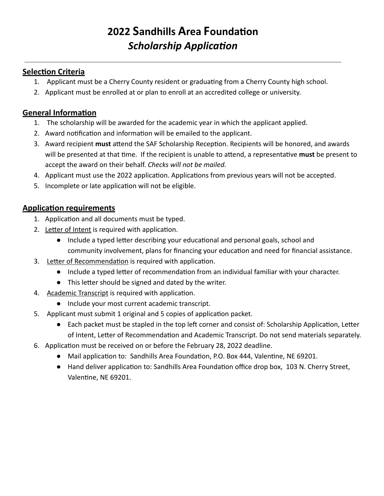# **2022 S andhills A rea F oundaon**  *Scholarship Application*

### **Selection Criteria**

- 1. Applicant must be a Cherry County resident or graduating from a Cherry County high school.
- 2. Applicant must be enrolled at or plan to enroll at an accredited college or university.

## **General Information**

- 1. The scholarship will be awarded for the academic year in which the applicant applied.
- 2. Award notification and information will be emailed to the applicant.
- 3. Award recipient must attend the SAF Scholarship Reception. Recipients will be honored, and awards will be presented at that time. If the recipient is unable to attend, a representative must be present to accept the award on their behalf. *Checks will not be mailed.*
- 4. Applicant must use the 2022 application. Applications from previous years will not be accepted.
- 5. Incomplete or late application will not be eligible.

## **Application requirements**

- 1. Application and all documents must be typed.
- 2. Letter of Intent is required with application.
	- Include a typed letter describing your educational and personal goals, school and community involvement, plans for financing your education and need for financial assistance.
- 3. Letter of Recommendation is required with application.
	- Include a typed letter of recommendation from an individual familiar with your character.
	- This letter should be signed and dated by the writer.
- 4. Academic Transcript is required with application.
	- Include your most current academic transcript.
- 5. Applicant must submit 1 original and 5 copies of application packet.
	- Each packet must be stapled in the top left corner and consist of: Scholarship Application, Letter of Intent, Letter of Recommendation and Academic Transcript. Do not send materials separately.
- 6. Application must be received on or before the February 28, 2022 deadline.
	- Mail application to: Sandhills Area Foundation, P.O. Box 444, Valentine, NE 69201.
	- Hand deliver application to: Sandhills Area Foundation office drop box, [103 N. Cherry Street,](https://l.facebook.com/l.php?u=https%3A%2F%2Fwww.google.com%2Fmaps%2Fdir%2F%3Fapi%3D1%26destination%3D42.8738518%252C-100.5506287%26fbclid%3DIwAR17_kp0nWCme23sr6EFzn3f0UT45_E0idwR3bqQ9jP6e2-Lb29HAFnB1SI&h=AT3cgvd8CyAQIYFReyt4XTeVs46l74AP2-MFGdw6JUvn4kiV7-PB74VZWlJ1TdjZNZ7sqFtrIGZuWLM05JuIbAb7Nu0IwVGIhqBr9W9h6hC3FMop4m8F_vnLJc-J3wm5E0j9hw) Valentine, NE 69201.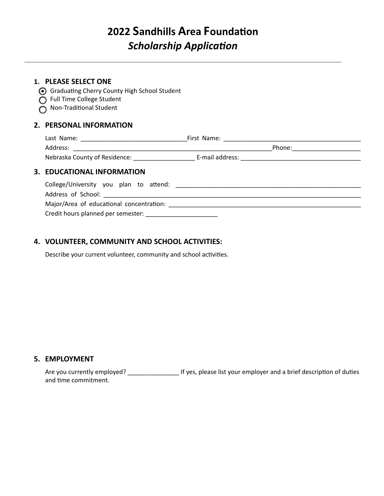## **2022 Sandhills Area Foundation Scholarship Application**

#### **1. PLEASE SELECT ONE**

- G Graduating Cherry County High School Student
- Full Time College Student
- $\overline{O}$  Non-Traditional Student

#### **2. PERSONAL INFORMATION**

| Address:                                                                                                                                                                                                                       |  |
|--------------------------------------------------------------------------------------------------------------------------------------------------------------------------------------------------------------------------------|--|
|                                                                                                                                                                                                                                |  |
| 3. EDUCATIONAL INFORMATION                                                                                                                                                                                                     |  |
| College/University you plan to attend: example and the state of the state of the state of the state of the state of the state of the state of the state of the state of the state of the state of the state of the state of th |  |
|                                                                                                                                                                                                                                |  |
| Major/Area of educational concentration:                                                                                                                                                                                       |  |

Credit hours planned per semester: \_\_\_\_\_\_\_\_\_\_\_\_\_\_\_\_\_\_\_\_\_

#### **4. VOLUNTEER, COMMUNITY AND SCHOOL ACTIVITIES:**

Describe your current volunteer, community and school activities.

#### **5. EMPLOYMENT**

Are you currently employed? \_\_\_\_\_\_\_\_\_\_\_\_\_\_\_\_\_\_\_\_\_\_\_ If yes, please list your employer and a brief description of duties and time commitment.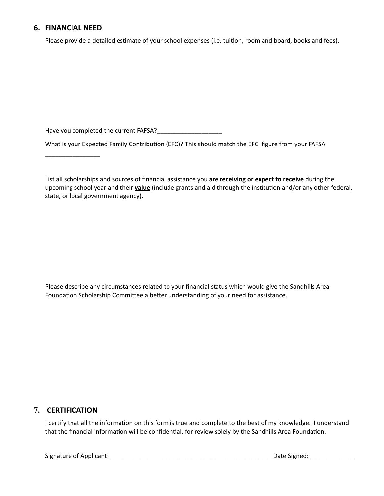#### **6. FINANCIAL NEED**

\_\_\_\_\_\_\_\_\_\_\_\_\_\_\_\_

Please provide a detailed estimate of your school expenses (i.e. tuition, room and board, books and fees).

Have you completed the current FAFSA?\_\_\_\_\_\_\_\_\_\_\_\_\_\_\_\_\_\_\_

What is your Expected Family Contribution (EFC)? This should match the EFC figure from your FAFSA

 List all scholarships and sources of financial assistance you **are receiving or expect to receive** during the upcoming school year and their **value** (include grants and aid through the institution and/or any other federal, state, or local government agency).

 Please describe any circumstances related to your financial status which would give the Sandhills Area Foundation Scholarship Committee a better understanding of your need for assistance.

#### **7. CERTIFICATION**

I certify that all the information on this form is true and complete to the best of my knowledge. I understand that the financial information will be confidential, for review solely by the Sandhills Area Foundation.

Signature of Applicant: \_\_\_\_\_\_\_\_\_\_\_\_\_\_\_\_\_\_\_\_\_\_\_\_\_\_\_\_\_\_\_\_\_\_\_\_\_\_\_\_\_\_\_\_\_\_\_ Date Signed: \_\_\_\_\_\_\_\_\_\_\_\_\_